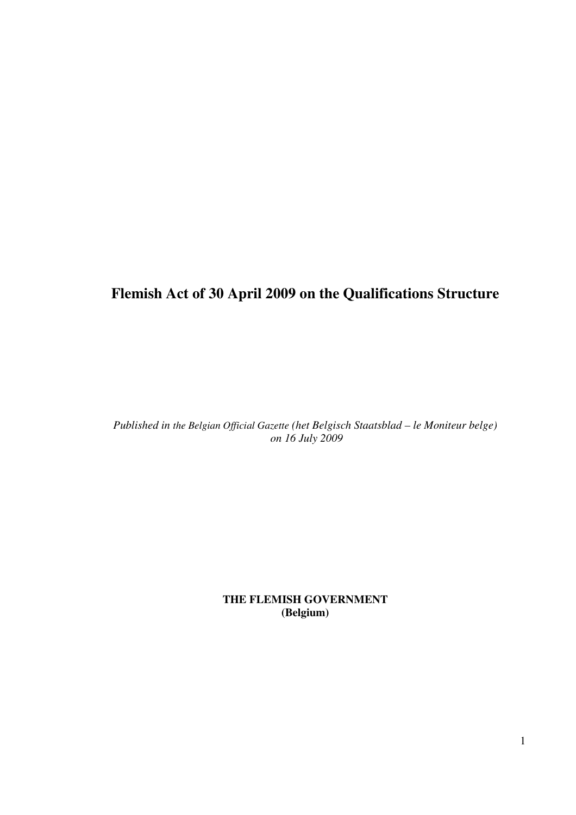# **Flemish Act of 30 April 2009 on the Qualifications Structure**

*Published in the Belgian Official Gazette (het Belgisch Staatsblad – le Moniteur belge) on 16 July 2009*

> **THE FLEMISH GOVERNMENT (Belgium)**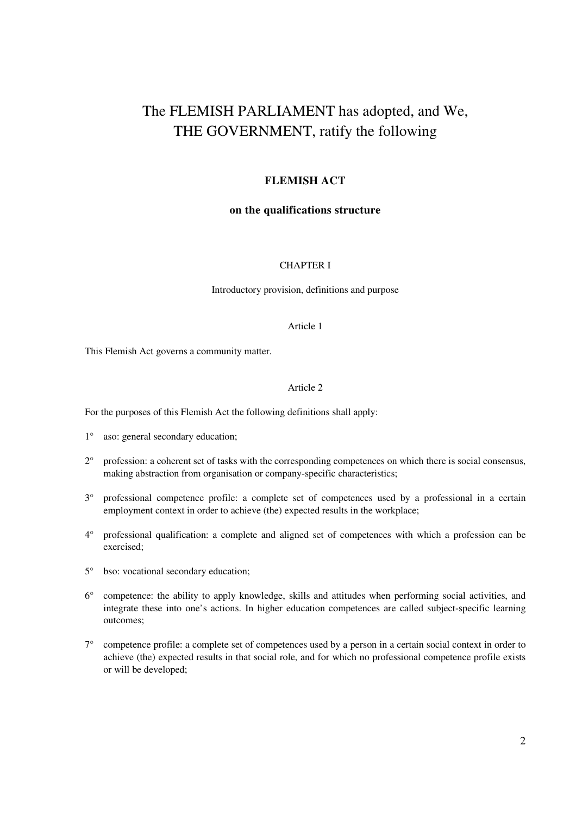# The FLEMISH PARLIAMENT has adopted, and We, THE GOVERNMENT, ratify the following

# **FLEMISH ACT**

# **on the qualifications structure**

## CHAPTER I

Introductory provision, definitions and purpose

## Article 1

This Flemish Act governs a community matter.

## Article 2

For the purposes of this Flemish Act the following definitions shall apply:

- 1° aso: general secondary education;
- 2° profession: a coherent set of tasks with the corresponding competences on which there is social consensus, making abstraction from organisation or company-specific characteristics;
- 3° professional competence profile: a complete set of competences used by a professional in a certain employment context in order to achieve (the) expected results in the workplace;
- 4° professional qualification: a complete and aligned set of competences with which a profession can be exercised;
- 5° bso: vocational secondary education;
- 6° competence: the ability to apply knowledge, skills and attitudes when performing social activities, and integrate these into one's actions. In higher education competences are called subject-specific learning outcomes;
- 7° competence profile: a complete set of competences used by a person in a certain social context in order to achieve (the) expected results in that social role, and for which no professional competence profile exists or will be developed;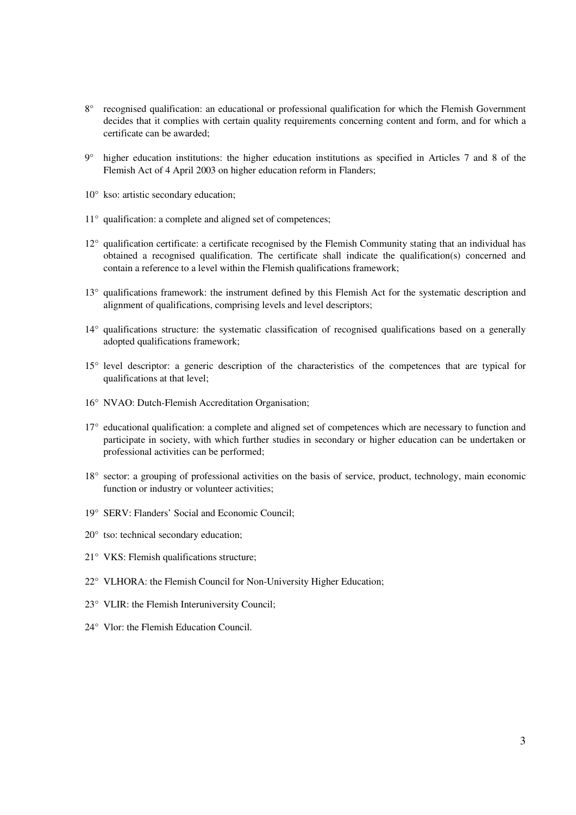- 8° recognised qualification: an educational or professional qualification for which the Flemish Government decides that it complies with certain quality requirements concerning content and form, and for which a certificate can be awarded;
- 9° higher education institutions: the higher education institutions as specified in Articles 7 and 8 of the Flemish Act of 4 April 2003 on higher education reform in Flanders;
- 10° kso: artistic secondary education;
- 11<sup>°</sup> qualification: a complete and aligned set of competences:
- 12° qualification certificate: a certificate recognised by the Flemish Community stating that an individual has obtained a recognised qualification. The certificate shall indicate the qualification(s) concerned and contain a reference to a level within the Flemish qualifications framework;
- 13° qualifications framework: the instrument defined by this Flemish Act for the systematic description and alignment of qualifications, comprising levels and level descriptors;
- 14° qualifications structure: the systematic classification of recognised qualifications based on a generally adopted qualifications framework;
- 15° level descriptor: a generic description of the characteristics of the competences that are typical for qualifications at that level;
- 16° NVAO: Dutch-Flemish Accreditation Organisation;
- 17° educational qualification: a complete and aligned set of competences which are necessary to function and participate in society, with which further studies in secondary or higher education can be undertaken or professional activities can be performed;
- 18° sector: a grouping of professional activities on the basis of service, product, technology, main economic function or industry or volunteer activities;
- 19° SERV: Flanders' Social and Economic Council;
- 20° tso: technical secondary education;
- 21° VKS: Flemish qualifications structure;
- 22° VLHORA: the Flemish Council for Non-University Higher Education;
- 23° VLIR: the Flemish Interuniversity Council;
- 24° Vlor: the Flemish Education Council.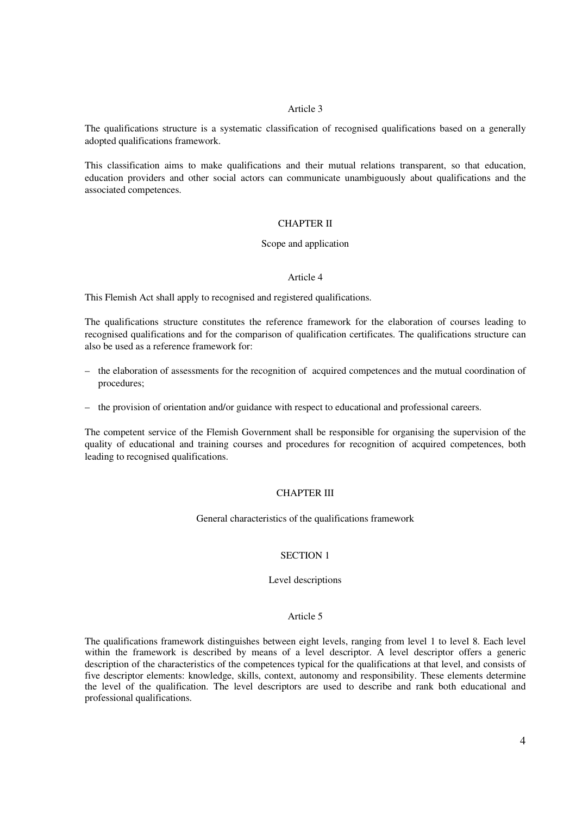The qualifications structure is a systematic classification of recognised qualifications based on a generally adopted qualifications framework.

This classification aims to make qualifications and their mutual relations transparent, so that education, education providers and other social actors can communicate unambiguously about qualifications and the associated competences.

#### CHAPTER II

#### Scope and application

#### Article 4

This Flemish Act shall apply to recognised and registered qualifications.

The qualifications structure constitutes the reference framework for the elaboration of courses leading to recognised qualifications and for the comparison of qualification certificates. The qualifications structure can also be used as a reference framework for:

- the elaboration of assessments for the recognition of acquired competences and the mutual coordination of procedures;
- the provision of orientation and/or guidance with respect to educational and professional careers.

The competent service of the Flemish Government shall be responsible for organising the supervision of the quality of educational and training courses and procedures for recognition of acquired competences, both leading to recognised qualifications.

## CHAPTER III

General characteristics of the qualifications framework

## SECTION 1

#### Level descriptions

#### Article 5

The qualifications framework distinguishes between eight levels, ranging from level 1 to level 8. Each level within the framework is described by means of a level descriptor. A level descriptor offers a generic description of the characteristics of the competences typical for the qualifications at that level, and consists of five descriptor elements: knowledge, skills, context, autonomy and responsibility. These elements determine the level of the qualification. The level descriptors are used to describe and rank both educational and professional qualifications.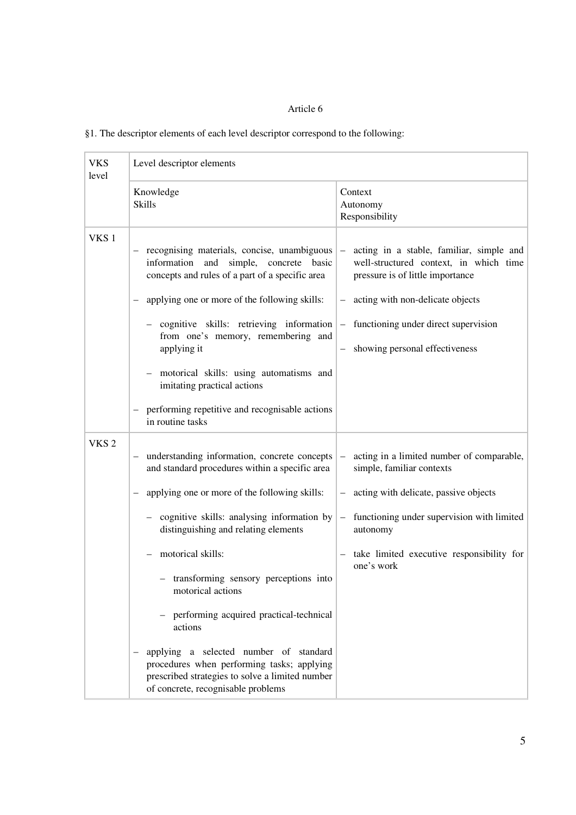| §1. The descriptor elements of each level descriptor correspond to the following: |
|-----------------------------------------------------------------------------------|
|-----------------------------------------------------------------------------------|

| <b>VKS</b><br>level | Level descriptor elements                                                                                                                                                                                                                                                                                                                                                                                                                        |                                                                                                                                                                                                                                                                                           |  |
|---------------------|--------------------------------------------------------------------------------------------------------------------------------------------------------------------------------------------------------------------------------------------------------------------------------------------------------------------------------------------------------------------------------------------------------------------------------------------------|-------------------------------------------------------------------------------------------------------------------------------------------------------------------------------------------------------------------------------------------------------------------------------------------|--|
|                     | Knowledge<br><b>Skills</b>                                                                                                                                                                                                                                                                                                                                                                                                                       | Context<br>Autonomy<br>Responsibility                                                                                                                                                                                                                                                     |  |
| VKS <sub>1</sub>    | - recognising materials, concise, unambiguous<br>information and simple, concrete basic<br>concepts and rules of a part of a specific area<br>applying one or more of the following skills:<br>- cognitive skills: retrieving information<br>from one's memory, remembering and<br>applying it<br>- motorical skills: using automatisms and<br>imitating practical actions<br>performing repetitive and recognisable actions<br>in routine tasks | acting in a stable, familiar, simple and<br>$\qquad \qquad -$<br>well-structured context, in which time<br>pressure is of little importance<br>acting with non-delicate objects<br>- functioning under direct supervision<br>showing personal effectiveness                               |  |
| VKS <sub>2</sub>    | understanding information, concrete concepts<br>$-$<br>and standard procedures within a specific area<br>applying one or more of the following skills:<br>- cognitive skills: analysing information by<br>distinguishing and relating elements<br>motorical skills:<br>- transforming sensory perceptions into<br>motorical actions<br>performing acquired practical-technical<br>actions<br>applying a selected number of standard              | acting in a limited number of comparable,<br>$\qquad \qquad -$<br>simple, familiar contexts<br>- acting with delicate, passive objects<br>functioning under supervision with limited<br>$\overline{\phantom{0}}$<br>autonomy<br>- take limited executive responsibility for<br>one's work |  |
|                     | procedures when performing tasks; applying<br>prescribed strategies to solve a limited number<br>of concrete, recognisable problems                                                                                                                                                                                                                                                                                                              |                                                                                                                                                                                                                                                                                           |  |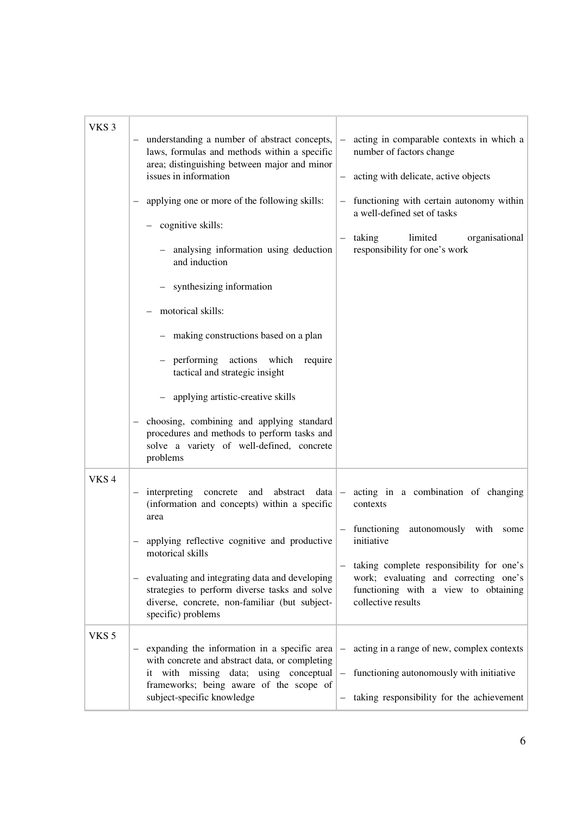| VKS <sub>3</sub> | understanding a number of abstract concepts,<br>laws, formulas and methods within a specific<br>area; distinguishing between major and minor<br>issues in information<br>applying one or more of the following skills:<br>cognitive skills:<br>- analysing information using deduction<br>and induction<br>- synthesizing information<br>motorical skills:<br>- making constructions based on a plan<br>performing actions which<br>require<br>tactical and strategic insight<br>applying artistic-creative skills<br>choosing, combining and applying standard<br>procedures and methods to perform tasks and<br>solve a variety of well-defined, concrete<br>problems | acting in comparable contexts in which a<br>number of factors change<br>- acting with delicate, active objects<br>functioning with certain autonomy within<br>a well-defined set of tasks<br>taking<br>limited<br>organisational<br>responsibility for one's work     |
|------------------|-------------------------------------------------------------------------------------------------------------------------------------------------------------------------------------------------------------------------------------------------------------------------------------------------------------------------------------------------------------------------------------------------------------------------------------------------------------------------------------------------------------------------------------------------------------------------------------------------------------------------------------------------------------------------|-----------------------------------------------------------------------------------------------------------------------------------------------------------------------------------------------------------------------------------------------------------------------|
| VKS <sub>4</sub> | interpreting<br>abstract<br>concrete<br>and<br>data<br>$\qquad \qquad -$<br>(information and concepts) within a specific<br>area<br>applying reflective cognitive and productive<br>motorical skills<br>evaluating and integrating data and developing<br>$\overline{\phantom{m}}$<br>strategies to perform diverse tasks and solve<br>diverse, concrete, non-familiar (but subject-<br>specific) problems                                                                                                                                                                                                                                                              | acting in a combination of changing<br>$ \,$<br>contexts<br>functioning<br>autonomously with<br>some<br>initiative<br>taking complete responsibility for one's<br>work; evaluating and correcting one's<br>functioning with a view to obtaining<br>collective results |
| VKS <sub>5</sub> | expanding the information in a specific area<br>with concrete and abstract data, or completing<br>it with missing data; using conceptual<br>frameworks; being aware of the scope of<br>subject-specific knowledge                                                                                                                                                                                                                                                                                                                                                                                                                                                       | acting in a range of new, complex contexts<br>$\overline{\phantom{0}}$<br>functioning autonomously with initiative<br>$\qquad \qquad -$<br>taking responsibility for the achievement                                                                                  |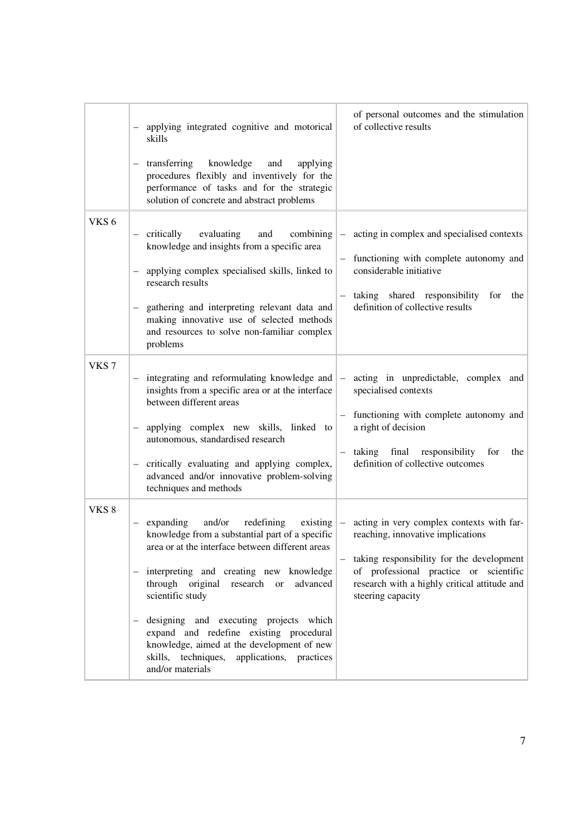|                  | applying integrated cognitive and motorical<br>skills<br>transferring<br>knowledge<br>and<br>applying<br>$\qquad \qquad -$<br>procedures flexibly and inventively for the<br>performance of tasks and for the strategic<br>solution of concrete and abstract problems                                                                                                                                                                                                                                                          | of personal outcomes and the stimulation<br>of collective results                                                                                                                                                              |
|------------------|--------------------------------------------------------------------------------------------------------------------------------------------------------------------------------------------------------------------------------------------------------------------------------------------------------------------------------------------------------------------------------------------------------------------------------------------------------------------------------------------------------------------------------|--------------------------------------------------------------------------------------------------------------------------------------------------------------------------------------------------------------------------------|
| VKS <sub>6</sub> | - critically<br>evaluating<br>and<br>combining<br>knowledge and insights from a specific area<br>applying complex specialised skills, linked to<br>research results<br>gathering and interpreting relevant data and<br>making innovative use of selected methods<br>and resources to solve non-familiar complex<br>problems                                                                                                                                                                                                    | - acting in complex and specialised contexts<br>functioning with complete autonomy and<br>$\qquad \qquad -$<br>considerable initiative<br>- taking shared responsibility<br>for<br>the<br>definition of collective results     |
| VKS <sub>7</sub> | integrating and reformulating knowledge and $\vert$ - acting in unpredictable, complex and<br>insights from a specific area or at the interface<br>between different areas<br>applying complex new skills, linked to<br>$\qquad \qquad -$<br>autonomous, standardised research<br>critically evaluating and applying complex,<br>advanced and/or innovative problem-solving<br>techniques and methods                                                                                                                          | specialised contexts<br>functioning with complete autonomy and<br>$\qquad \qquad -$<br>a right of decision<br>taking final<br>responsibility<br>for<br>the<br>$\overline{\phantom{m}}$<br>definition of collective outcomes    |
| VKS <sub>8</sub> | and/or<br>redefining<br>expanding<br>knowledge from a substantial part of a specific   reaching, innovative implications<br>area or at the interface between different areas<br>- interpreting and creating new knowledge<br>through original research or<br>advanced<br>scientific study<br>designing and executing projects which<br>$\overline{\phantom{a}}$<br>expand and redefine existing procedural<br>knowledge, aimed at the development of new<br>skills, techniques,<br>applications, practices<br>and/or materials | existing $\parallel$ - acting in very complex contexts with far-<br>- taking responsibility for the development<br>of professional practice or scientific<br>research with a highly critical attitude and<br>steering capacity |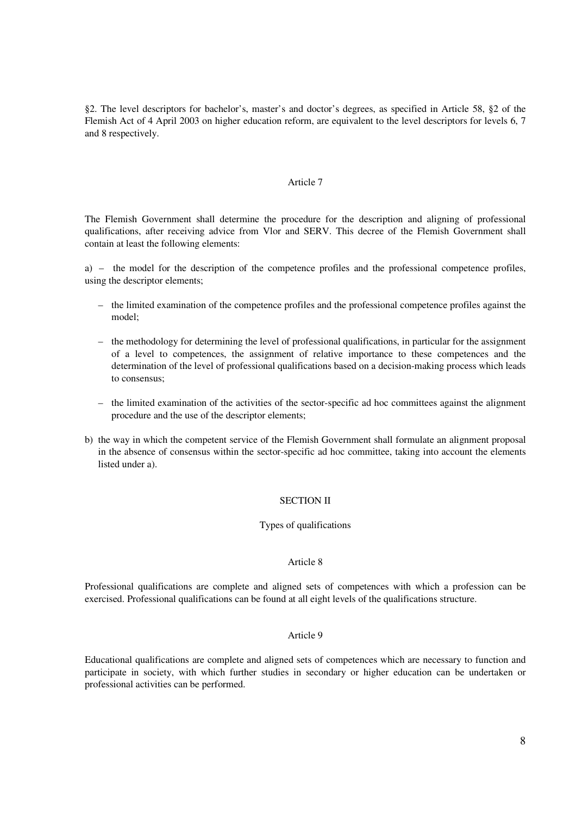§2. The level descriptors for bachelor's, master's and doctor's degrees, as specified in Article 58, §2 of the Flemish Act of 4 April 2003 on higher education reform, are equivalent to the level descriptors for levels 6, 7 and 8 respectively.

#### Article 7

The Flemish Government shall determine the procedure for the description and aligning of professional qualifications, after receiving advice from Vlor and SERV. This decree of the Flemish Government shall contain at least the following elements:

a) – the model for the description of the competence profiles and the professional competence profiles, using the descriptor elements;

- the limited examination of the competence profiles and the professional competence profiles against the model;
- the methodology for determining the level of professional qualifications, in particular for the assignment of a level to competences, the assignment of relative importance to these competences and the determination of the level of professional qualifications based on a decision-making process which leads to consensus;
- the limited examination of the activities of the sector-specific ad hoc committees against the alignment procedure and the use of the descriptor elements;
- b) the way in which the competent service of the Flemish Government shall formulate an alignment proposal in the absence of consensus within the sector-specific ad hoc committee, taking into account the elements listed under a).

#### SECTION II

## Types of qualifications

#### Article 8

Professional qualifications are complete and aligned sets of competences with which a profession can be exercised. Professional qualifications can be found at all eight levels of the qualifications structure.

#### Article 9

Educational qualifications are complete and aligned sets of competences which are necessary to function and participate in society, with which further studies in secondary or higher education can be undertaken or professional activities can be performed.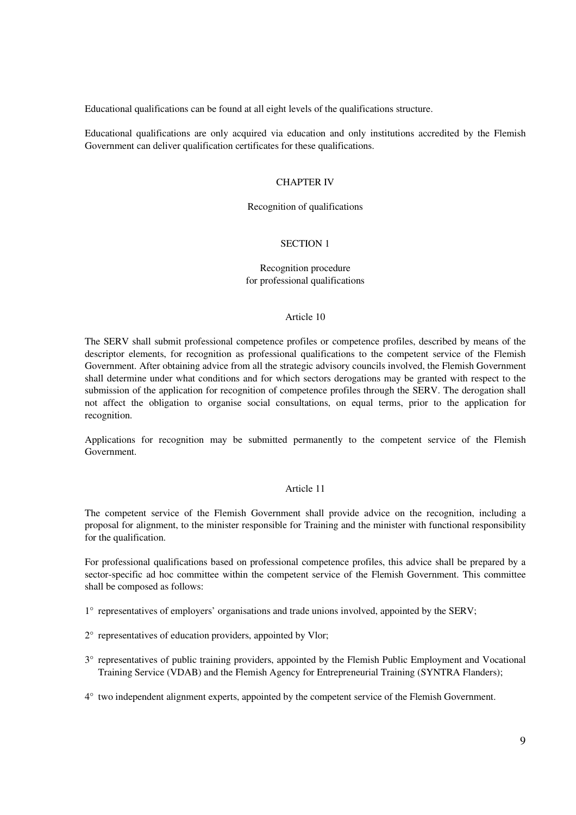Educational qualifications can be found at all eight levels of the qualifications structure.

Educational qualifications are only acquired via education and only institutions accredited by the Flemish Government can deliver qualification certificates for these qualifications.

#### CHAPTER IV

#### Recognition of qualifications

## SECTION 1

## Recognition procedure for professional qualifications

#### Article 10

The SERV shall submit professional competence profiles or competence profiles, described by means of the descriptor elements, for recognition as professional qualifications to the competent service of the Flemish Government. After obtaining advice from all the strategic advisory councils involved, the Flemish Government shall determine under what conditions and for which sectors derogations may be granted with respect to the submission of the application for recognition of competence profiles through the SERV. The derogation shall not affect the obligation to organise social consultations, on equal terms, prior to the application for recognition.

Applications for recognition may be submitted permanently to the competent service of the Flemish Government.

#### Article 11

The competent service of the Flemish Government shall provide advice on the recognition, including a proposal for alignment, to the minister responsible for Training and the minister with functional responsibility for the qualification.

For professional qualifications based on professional competence profiles, this advice shall be prepared by a sector-specific ad hoc committee within the competent service of the Flemish Government. This committee shall be composed as follows:

- 1° representatives of employers' organisations and trade unions involved, appointed by the SERV;
- 2° representatives of education providers, appointed by Vlor;
- 3° representatives of public training providers, appointed by the Flemish Public Employment and Vocational Training Service (VDAB) and the Flemish Agency for Entrepreneurial Training (SYNTRA Flanders);
- 4° two independent alignment experts, appointed by the competent service of the Flemish Government.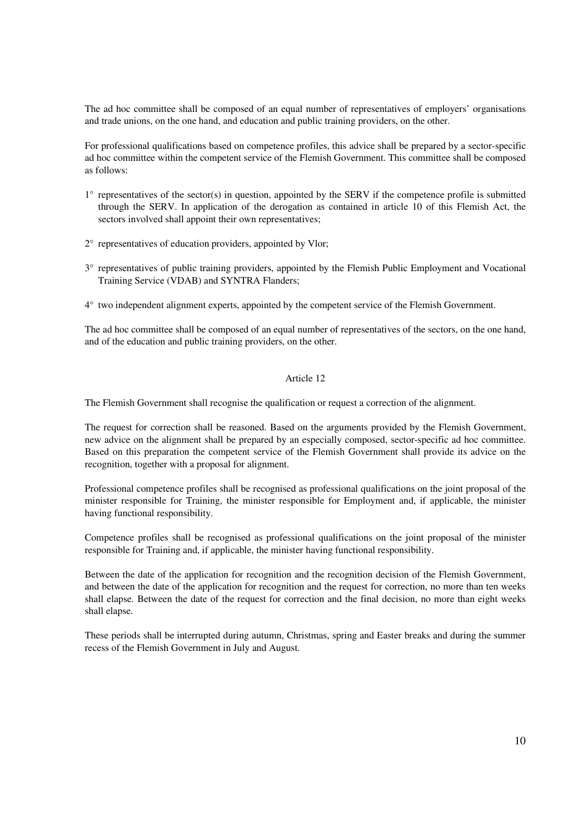The ad hoc committee shall be composed of an equal number of representatives of employers' organisations and trade unions, on the one hand, and education and public training providers, on the other.

For professional qualifications based on competence profiles, this advice shall be prepared by a sector-specific ad hoc committee within the competent service of the Flemish Government. This committee shall be composed as follows:

- 1° representatives of the sector(s) in question, appointed by the SERV if the competence profile is submitted through the SERV. In application of the derogation as contained in article 10 of this Flemish Act, the sectors involved shall appoint their own representatives;
- 2° representatives of education providers, appointed by Vlor;
- 3° representatives of public training providers, appointed by the Flemish Public Employment and Vocational Training Service (VDAB) and SYNTRA Flanders;
- 4° two independent alignment experts, appointed by the competent service of the Flemish Government.

The ad hoc committee shall be composed of an equal number of representatives of the sectors, on the one hand, and of the education and public training providers, on the other.

# Article 12

The Flemish Government shall recognise the qualification or request a correction of the alignment.

The request for correction shall be reasoned. Based on the arguments provided by the Flemish Government, new advice on the alignment shall be prepared by an especially composed, sector-specific ad hoc committee. Based on this preparation the competent service of the Flemish Government shall provide its advice on the recognition, together with a proposal for alignment.

Professional competence profiles shall be recognised as professional qualifications on the joint proposal of the minister responsible for Training, the minister responsible for Employment and, if applicable, the minister having functional responsibility.

Competence profiles shall be recognised as professional qualifications on the joint proposal of the minister responsible for Training and, if applicable, the minister having functional responsibility.

Between the date of the application for recognition and the recognition decision of the Flemish Government, and between the date of the application for recognition and the request for correction, no more than ten weeks shall elapse. Between the date of the request for correction and the final decision, no more than eight weeks shall elapse.

These periods shall be interrupted during autumn, Christmas, spring and Easter breaks and during the summer recess of the Flemish Government in July and August.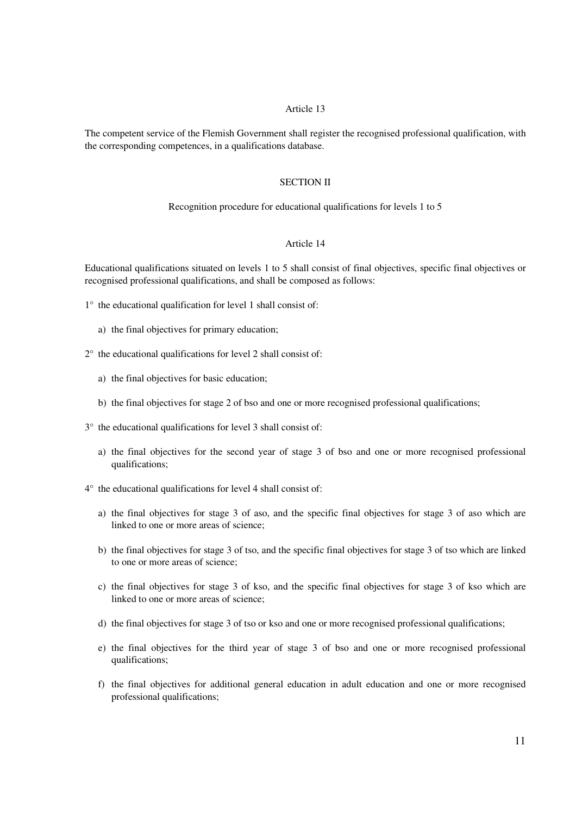The competent service of the Flemish Government shall register the recognised professional qualification, with the corresponding competences, in a qualifications database.

#### SECTION II

## Recognition procedure for educational qualifications for levels 1 to 5

## Article 14

Educational qualifications situated on levels 1 to 5 shall consist of final objectives, specific final objectives or recognised professional qualifications, and shall be composed as follows:

- 1° the educational qualification for level 1 shall consist of:
	- a) the final objectives for primary education;
- 2° the educational qualifications for level 2 shall consist of:
	- a) the final objectives for basic education;
	- b) the final objectives for stage 2 of bso and one or more recognised professional qualifications;
- 3° the educational qualifications for level 3 shall consist of:
	- a) the final objectives for the second year of stage 3 of bso and one or more recognised professional qualifications;
- 4° the educational qualifications for level 4 shall consist of:
	- a) the final objectives for stage 3 of aso, and the specific final objectives for stage 3 of aso which are linked to one or more areas of science;
	- b) the final objectives for stage 3 of tso, and the specific final objectives for stage 3 of tso which are linked to one or more areas of science;
	- c) the final objectives for stage 3 of kso, and the specific final objectives for stage 3 of kso which are linked to one or more areas of science;
	- d) the final objectives for stage 3 of tso or kso and one or more recognised professional qualifications;
	- e) the final objectives for the third year of stage 3 of bso and one or more recognised professional qualifications;
	- f) the final objectives for additional general education in adult education and one or more recognised professional qualifications;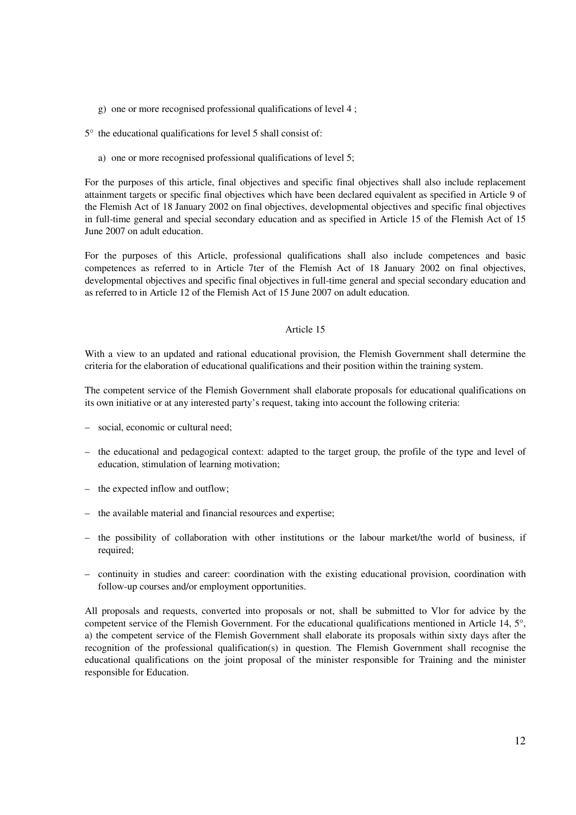g) one or more recognised professional qualifications of level 4 ;

5° the educational qualifications for level 5 shall consist of:

a) one or more recognised professional qualifications of level 5;

For the purposes of this article, final objectives and specific final objectives shall also include replacement attainment targets or specific final objectives which have been declared equivalent as specified in Article 9 of the Flemish Act of 18 January 2002 on final objectives, developmental objectives and specific final objectives in full-time general and special secondary education and as specified in Article 15 of the Flemish Act of 15 June 2007 on adult education.

For the purposes of this Article, professional qualifications shall also include competences and basic competences as referred to in Article 7ter of the Flemish Act of 18 January 2002 on final objectives, developmental objectives and specific final objectives in full-time general and special secondary education and as referred to in Article 12 of the Flemish Act of 15 June 2007 on adult education.

#### Article 15

With a view to an updated and rational educational provision, the Flemish Government shall determine the criteria for the elaboration of educational qualifications and their position within the training system.

The competent service of the Flemish Government shall elaborate proposals for educational qualifications on its own initiative or at any interested party's request, taking into account the following criteria:

- social, economic or cultural need;
- the educational and pedagogical context: adapted to the target group, the profile of the type and level of education, stimulation of learning motivation;
- the expected inflow and outflow;
- the available material and financial resources and expertise;
- the possibility of collaboration with other institutions or the labour market/the world of business, if required;
- continuity in studies and career: coordination with the existing educational provision, coordination with follow-up courses and/or employment opportunities.

All proposals and requests, converted into proposals or not, shall be submitted to Vlor for advice by the competent service of the Flemish Government. For the educational qualifications mentioned in Article 14, 5°, a) the competent service of the Flemish Government shall elaborate its proposals within sixty days after the recognition of the professional qualification(s) in question. The Flemish Government shall recognise the educational qualifications on the joint proposal of the minister responsible for Training and the minister responsible for Education.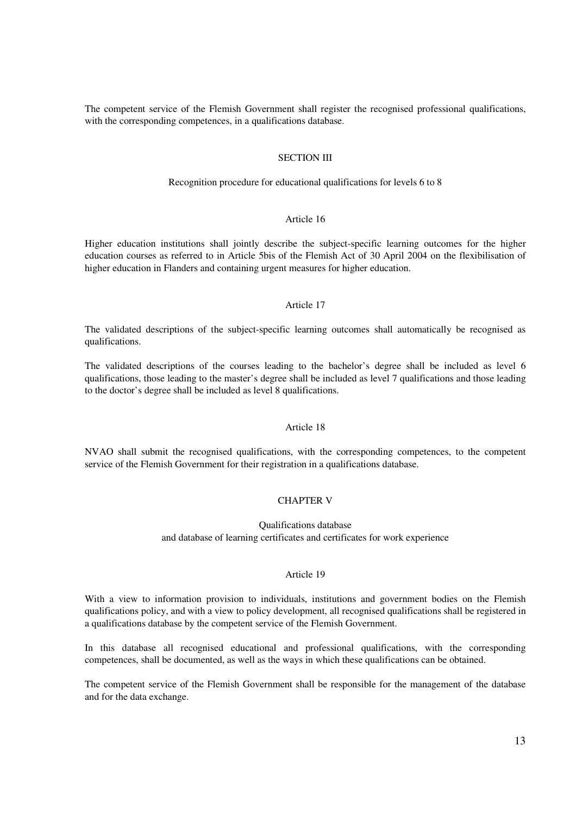The competent service of the Flemish Government shall register the recognised professional qualifications, with the corresponding competences, in a qualifications database.

### SECTION III

#### Recognition procedure for educational qualifications for levels 6 to 8

# Article 16

Higher education institutions shall jointly describe the subject-specific learning outcomes for the higher education courses as referred to in Article 5bis of the Flemish Act of 30 April 2004 on the flexibilisation of higher education in Flanders and containing urgent measures for higher education.

## Article 17

The validated descriptions of the subject-specific learning outcomes shall automatically be recognised as qualifications.

The validated descriptions of the courses leading to the bachelor's degree shall be included as level 6 qualifications, those leading to the master's degree shall be included as level 7 qualifications and those leading to the doctor's degree shall be included as level 8 qualifications.

#### Article 18

NVAO shall submit the recognised qualifications, with the corresponding competences, to the competent service of the Flemish Government for their registration in a qualifications database.

## CHAPTER V

Qualifications database and database of learning certificates and certificates for work experience

## Article 19

With a view to information provision to individuals, institutions and government bodies on the Flemish qualifications policy, and with a view to policy development, all recognised qualifications shall be registered in a qualifications database by the competent service of the Flemish Government.

In this database all recognised educational and professional qualifications, with the corresponding competences, shall be documented, as well as the ways in which these qualifications can be obtained.

The competent service of the Flemish Government shall be responsible for the management of the database and for the data exchange.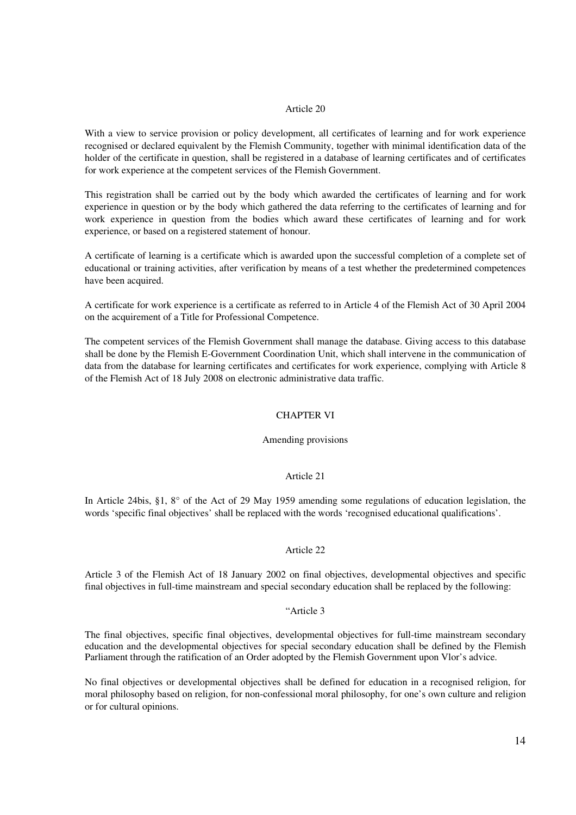With a view to service provision or policy development, all certificates of learning and for work experience recognised or declared equivalent by the Flemish Community, together with minimal identification data of the holder of the certificate in question, shall be registered in a database of learning certificates and of certificates for work experience at the competent services of the Flemish Government.

This registration shall be carried out by the body which awarded the certificates of learning and for work experience in question or by the body which gathered the data referring to the certificates of learning and for work experience in question from the bodies which award these certificates of learning and for work experience, or based on a registered statement of honour.

A certificate of learning is a certificate which is awarded upon the successful completion of a complete set of educational or training activities, after verification by means of a test whether the predetermined competences have been acquired.

A certificate for work experience is a certificate as referred to in Article 4 of the Flemish Act of 30 April 2004 on the acquirement of a Title for Professional Competence.

The competent services of the Flemish Government shall manage the database. Giving access to this database shall be done by the Flemish E-Government Coordination Unit, which shall intervene in the communication of data from the database for learning certificates and certificates for work experience, complying with Article 8 of the Flemish Act of 18 July 2008 on electronic administrative data traffic.

## CHAPTER VI

#### Amending provisions

## Article 21

In Article 24bis, §1, 8° of the Act of 29 May 1959 amending some regulations of education legislation, the words 'specific final objectives' shall be replaced with the words 'recognised educational qualifications'.

## Article 22

Article 3 of the Flemish Act of 18 January 2002 on final objectives, developmental objectives and specific final objectives in full-time mainstream and special secondary education shall be replaced by the following:

## "Article 3

The final objectives, specific final objectives, developmental objectives for full-time mainstream secondary education and the developmental objectives for special secondary education shall be defined by the Flemish Parliament through the ratification of an Order adopted by the Flemish Government upon Vlor's advice.

No final objectives or developmental objectives shall be defined for education in a recognised religion, for moral philosophy based on religion, for non-confessional moral philosophy, for one's own culture and religion or for cultural opinions.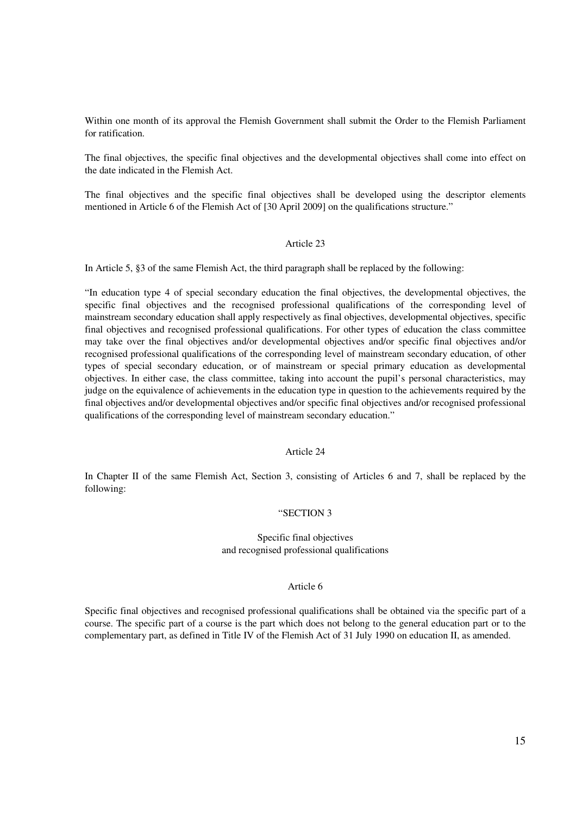Within one month of its approval the Flemish Government shall submit the Order to the Flemish Parliament for ratification.

The final objectives, the specific final objectives and the developmental objectives shall come into effect on the date indicated in the Flemish Act.

The final objectives and the specific final objectives shall be developed using the descriptor elements mentioned in Article 6 of the Flemish Act of [30 April 2009] on the qualifications structure."

## Article 23

In Article 5, §3 of the same Flemish Act, the third paragraph shall be replaced by the following:

"In education type 4 of special secondary education the final objectives, the developmental objectives, the specific final objectives and the recognised professional qualifications of the corresponding level of mainstream secondary education shall apply respectively as final objectives, developmental objectives, specific final objectives and recognised professional qualifications. For other types of education the class committee may take over the final objectives and/or developmental objectives and/or specific final objectives and/or recognised professional qualifications of the corresponding level of mainstream secondary education, of other types of special secondary education, or of mainstream or special primary education as developmental objectives. In either case, the class committee, taking into account the pupil's personal characteristics, may judge on the equivalence of achievements in the education type in question to the achievements required by the final objectives and/or developmental objectives and/or specific final objectives and/or recognised professional qualifications of the corresponding level of mainstream secondary education."

## Article 24

In Chapter II of the same Flemish Act, Section 3, consisting of Articles 6 and 7, shall be replaced by the following:

## "SECTION 3

Specific final objectives and recognised professional qualifications

### Article 6

Specific final objectives and recognised professional qualifications shall be obtained via the specific part of a course. The specific part of a course is the part which does not belong to the general education part or to the complementary part, as defined in Title IV of the Flemish Act of 31 July 1990 on education II, as amended.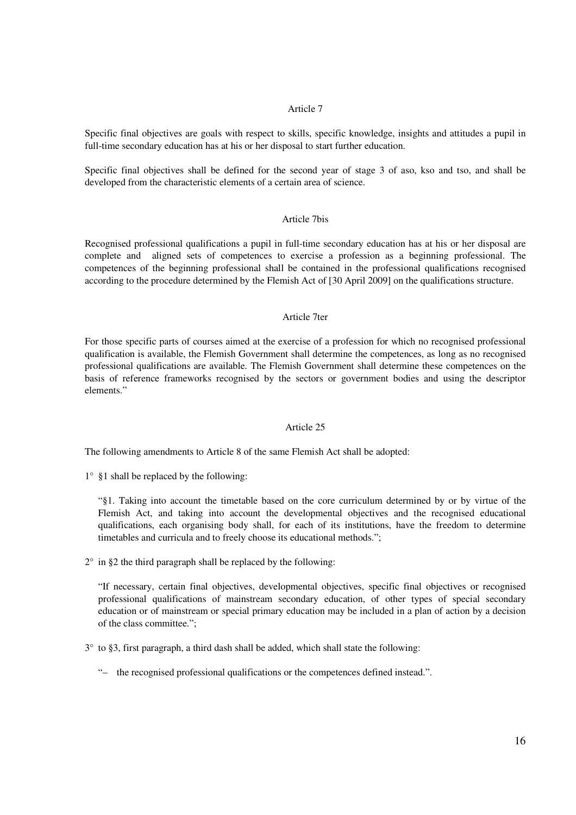Specific final objectives are goals with respect to skills, specific knowledge, insights and attitudes a pupil in full-time secondary education has at his or her disposal to start further education.

Specific final objectives shall be defined for the second year of stage 3 of aso, kso and tso, and shall be developed from the characteristic elements of a certain area of science.

## Article 7bis

Recognised professional qualifications a pupil in full-time secondary education has at his or her disposal are complete and aligned sets of competences to exercise a profession as a beginning professional. The competences of the beginning professional shall be contained in the professional qualifications recognised according to the procedure determined by the Flemish Act of [30 April 2009] on the qualifications structure.

#### Article 7ter

For those specific parts of courses aimed at the exercise of a profession for which no recognised professional qualification is available, the Flemish Government shall determine the competences, as long as no recognised professional qualifications are available. The Flemish Government shall determine these competences on the basis of reference frameworks recognised by the sectors or government bodies and using the descriptor elements."

#### Article 25

The following amendments to Article 8 of the same Flemish Act shall be adopted:

1° §1 shall be replaced by the following:

"§1. Taking into account the timetable based on the core curriculum determined by or by virtue of the Flemish Act, and taking into account the developmental objectives and the recognised educational qualifications, each organising body shall, for each of its institutions, have the freedom to determine timetables and curricula and to freely choose its educational methods.";

 $2^{\circ}$  in §2 the third paragraph shall be replaced by the following:

"If necessary, certain final objectives, developmental objectives, specific final objectives or recognised professional qualifications of mainstream secondary education, of other types of special secondary education or of mainstream or special primary education may be included in a plan of action by a decision of the class committee.";

3° to §3, first paragraph, a third dash shall be added, which shall state the following:

"– the recognised professional qualifications or the competences defined instead.".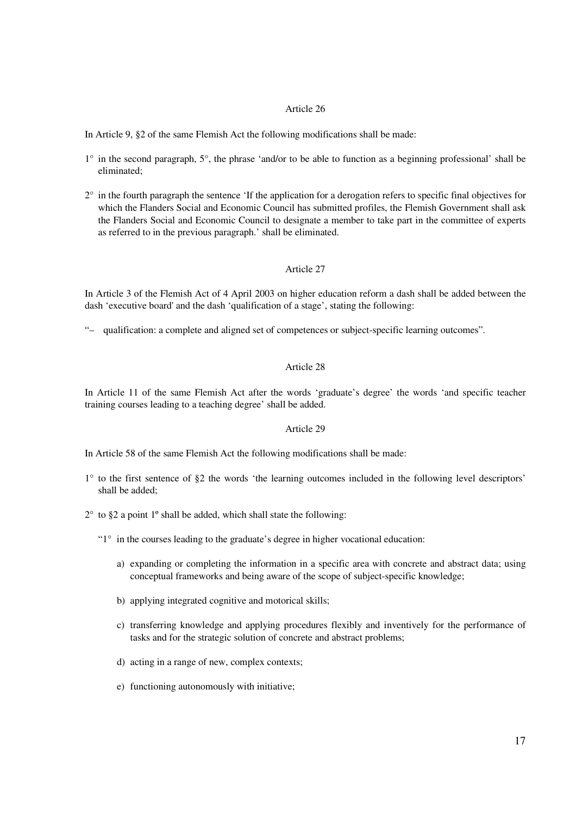In Article 9, §2 of the same Flemish Act the following modifications shall be made:

- 1° in the second paragraph, 5°, the phrase 'and/or to be able to function as a beginning professional' shall be eliminated;
- 2° in the fourth paragraph the sentence 'If the application for a derogation refers to specific final objectives for which the Flanders Social and Economic Council has submitted profiles, the Flemish Government shall ask the Flanders Social and Economic Council to designate a member to take part in the committee of experts as referred to in the previous paragraph.' shall be eliminated.

## Article 27

In Article 3 of the Flemish Act of 4 April 2003 on higher education reform a dash shall be added between the dash 'executive board'and the dash 'qualification of a stage', stating the following:

"– qualification: a complete and aligned set of competences or subject-specific learning outcomes".

## Article 28

In Article 11 of the same Flemish Act after the words 'graduate's degree' the words 'and specific teacher training courses leading to a teaching degree' shall be added.

## Article 29

In Article 58 of the same Flemish Act the following modifications shall be made:

1° to the first sentence of §2 the words 'the learning outcomes included in the following level descriptors' shall be added;

 $2^{\circ}$  to §2 a point 1° shall be added, which shall state the following:

"1° in the courses leading to the graduate's degree in higher vocational education:

- a) expanding or completing the information in a specific area with concrete and abstract data; using conceptual frameworks and being aware of the scope of subject-specific knowledge;
- b) applying integrated cognitive and motorical skills;
- c) transferring knowledge and applying procedures flexibly and inventively for the performance of tasks and for the strategic solution of concrete and abstract problems;
- d) acting in a range of new, complex contexts;
- e) functioning autonomously with initiative;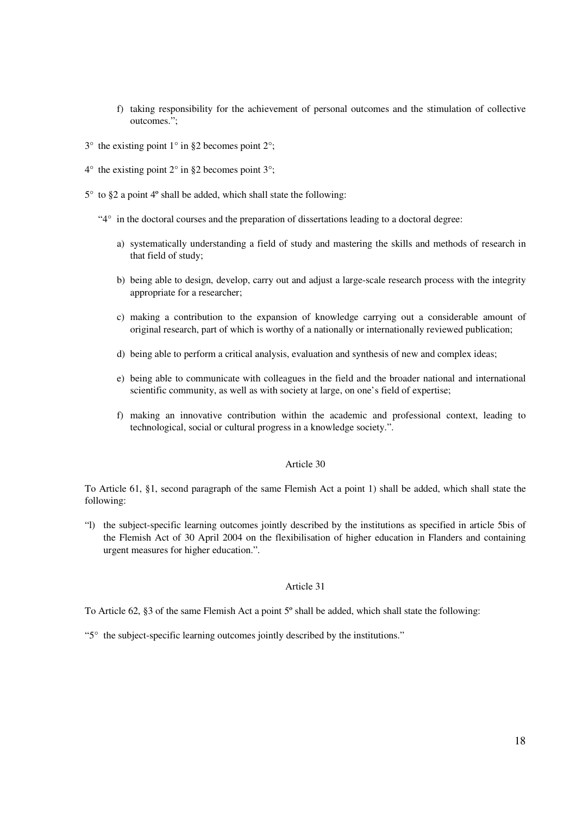- f) taking responsibility for the achievement of personal outcomes and the stimulation of collective outcomes.";
- $3^{\circ}$  the existing point  $1^{\circ}$  in §2 becomes point  $2^{\circ}$ ;
- $4^{\circ}$  the existing point  $2^{\circ}$  in §2 becomes point  $3^{\circ}$ ;
- 5° to §2 a point 4º shall be added, which shall state the following:
	- "4° in the doctoral courses and the preparation of dissertations leading to a doctoral degree:
		- a) systematically understanding a field of study and mastering the skills and methods of research in that field of study;
		- b) being able to design, develop, carry out and adjust a large-scale research process with the integrity appropriate for a researcher;
		- c) making a contribution to the expansion of knowledge carrying out a considerable amount of original research, part of which is worthy of a nationally or internationally reviewed publication;
		- d) being able to perform a critical analysis, evaluation and synthesis of new and complex ideas;
		- e) being able to communicate with colleagues in the field and the broader national and international scientific community, as well as with society at large, on one's field of expertise;
		- f) making an innovative contribution within the academic and professional context, leading to technological, social or cultural progress in a knowledge society.".

To Article 61, §1, second paragraph of the same Flemish Act a point 1) shall be added, which shall state the following:

"l) the subject-specific learning outcomes jointly described by the institutions as specified in article 5bis of the Flemish Act of 30 April 2004 on the flexibilisation of higher education in Flanders and containing urgent measures for higher education.".

## Article 31

To Article 62, §3 of the same Flemish Act a point 5º shall be added, which shall state the following:

"5° the subject-specific learning outcomes jointly described by the institutions."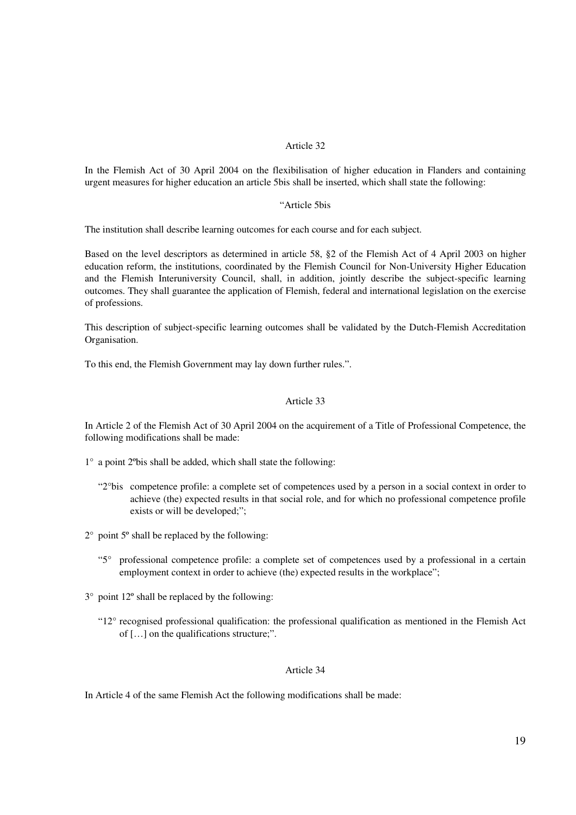In the Flemish Act of 30 April 2004 on the flexibilisation of higher education in Flanders and containing urgent measures for higher education an article 5bis shall be inserted, which shall state the following:

#### "Article 5bis

The institution shall describe learning outcomes for each course and for each subject.

Based on the level descriptors as determined in article 58, §2 of the Flemish Act of 4 April 2003 on higher education reform, the institutions, coordinated by the Flemish Council for Non-University Higher Education and the Flemish Interuniversity Council, shall, in addition, jointly describe the subject-specific learning outcomes. They shall guarantee the application of Flemish, federal and international legislation on the exercise of professions.

This description of subject-specific learning outcomes shall be validated by the Dutch-Flemish Accreditation Organisation.

To this end, the Flemish Government may lay down further rules.".

# Article 33

In Article 2 of the Flemish Act of 30 April 2004 on the acquirement of a Title of Professional Competence, the following modifications shall be made:

1° a point 2ºbis shall be added, which shall state the following:

- "2°bis competence profile: a complete set of competences used by a person in a social context in order to achieve (the) expected results in that social role, and for which no professional competence profile exists or will be developed;";
- 2° point 5º shall be replaced by the following:
	- "5° professional competence profile: a complete set of competences used by a professional in a certain employment context in order to achieve (the) expected results in the workplace";
- 3° point 12º shall be replaced by the following:
	- "12° recognised professional qualification: the professional qualification as mentioned in the Flemish Act of […] on the qualifications structure;".

#### Article 34

In Article 4 of the same Flemish Act the following modifications shall be made: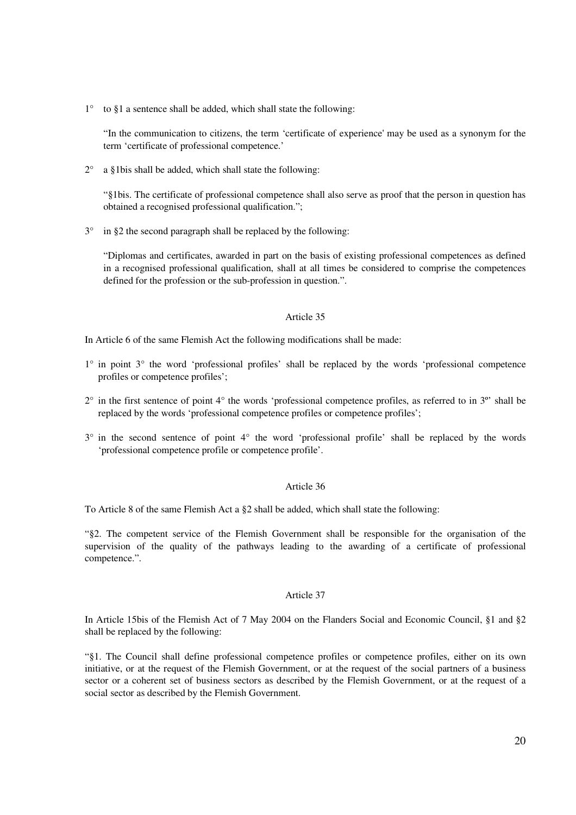$1^\circ$  to §1 a sentence shall be added, which shall state the following:

"In the communication to citizens, the term 'certificate of experience'may be used as a synonym for the term 'certificate of professional competence.'

 $2^{\circ}$  a §1bis shall be added, which shall state the following:

"§1bis. The certificate of professional competence shall also serve as proof that the person in question has obtained a recognised professional qualification.";

3° in §2 the second paragraph shall be replaced by the following:

"Diplomas and certificates, awarded in part on the basis of existing professional competences as defined in a recognised professional qualification, shall at all times be considered to comprise the competences defined for the profession or the sub-profession in question.".

#### Article 35

In Article 6 of the same Flemish Act the following modifications shall be made:

- 1° in point 3° the word 'professional profiles' shall be replaced by the words 'professional competence profiles or competence profiles';
- 2° in the first sentence of point 4° the words 'professional competence profiles, as referred to in 3º' shall be replaced by the words 'professional competence profiles or competence profiles';
- 3° in the second sentence of point 4° the word 'professional profile' shall be replaced by the words 'professional competence profile or competence profile'.

## Article 36

To Article 8 of the same Flemish Act a §2 shall be added, which shall state the following:

"§2. The competent service of the Flemish Government shall be responsible for the organisation of the supervision of the quality of the pathways leading to the awarding of a certificate of professional competence.".

## Article 37

In Article 15bis of the Flemish Act of 7 May 2004 on the Flanders Social and Economic Council, §1 and §2 shall be replaced by the following:

"§1. The Council shall define professional competence profiles or competence profiles, either on its own initiative, or at the request of the Flemish Government, or at the request of the social partners of a business sector or a coherent set of business sectors as described by the Flemish Government, or at the request of a social sector as described by the Flemish Government.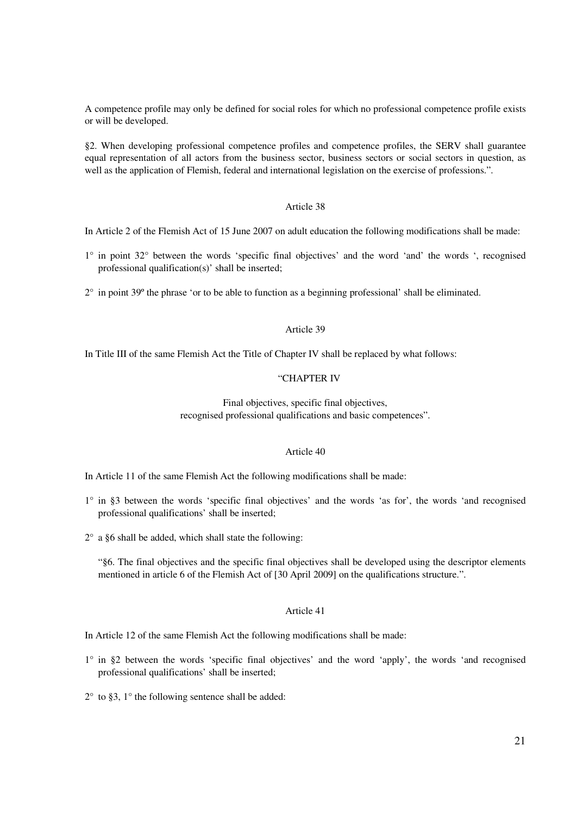A competence profile may only be defined for social roles for which no professional competence profile exists or will be developed.

§2. When developing professional competence profiles and competence profiles, the SERV shall guarantee equal representation of all actors from the business sector, business sectors or social sectors in question, as well as the application of Flemish, federal and international legislation on the exercise of professions.".

## Article 38

In Article 2 of the Flemish Act of 15 June 2007 on adult education the following modifications shall be made:

- 1° in point 32° between the words 'specific final objectives' and the word 'and' the words ', recognised professional qualification(s)' shall be inserted;
- 2° in point 39º the phrase 'or to be able to function as a beginning professional' shall be eliminated.

#### Article 39

In Title III of the same Flemish Act the Title of Chapter IV shall be replaced by what follows:

## "CHAPTER IV

Final objectives, specific final objectives, recognised professional qualifications and basic competences".

## Article 40

In Article 11 of the same Flemish Act the following modifications shall be made:

- 1° in §3 between the words 'specific final objectives' and the words 'as for', the words 'and recognised professional qualifications' shall be inserted;
- 2° a §6 shall be added, which shall state the following:

"§6. The final objectives and the specific final objectives shall be developed using the descriptor elements mentioned in article 6 of the Flemish Act of [30 April 2009] on the qualifications structure.".

## Article 41

In Article 12 of the same Flemish Act the following modifications shall be made:

- 1° in §2 between the words 'specific final objectives' and the word 'apply', the words 'and recognised professional qualifications' shall be inserted;
- $2^{\circ}$  to §3, 1 $^{\circ}$  the following sentence shall be added: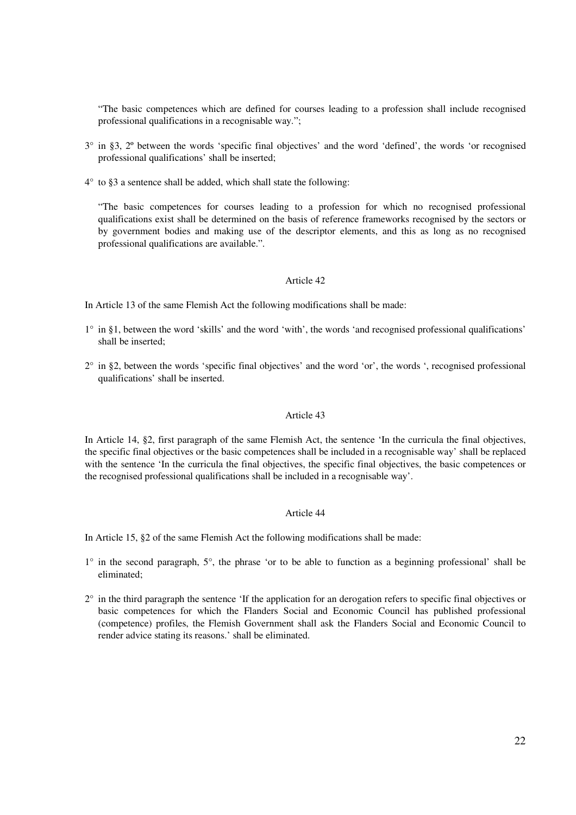"The basic competences which are defined for courses leading to a profession shall include recognised professional qualifications in a recognisable way.";

- 3° in §3, 2º between the words 'specific final objectives' and the word 'defined', the words 'or recognised professional qualifications' shall be inserted;
- 4° to §3 a sentence shall be added, which shall state the following:

"The basic competences for courses leading to a profession for which no recognised professional qualifications exist shall be determined on the basis of reference frameworks recognised by the sectors or by government bodies and making use of the descriptor elements, and this as long as no recognised professional qualifications are available.".

## Article 42

In Article 13 of the same Flemish Act the following modifications shall be made:

- 1° in §1, between the word 'skills' and the word 'with', the words 'and recognised professional qualifications' shall be inserted;
- 2° in §2, between the words 'specific final objectives' and the word 'or', the words ', recognised professional qualifications' shall be inserted.

## Article 43

In Article 14, §2, first paragraph of the same Flemish Act, the sentence 'In the curricula the final objectives, the specific final objectives or the basic competences shall be included in a recognisable way' shall be replaced with the sentence 'In the curricula the final objectives, the specific final objectives, the basic competences or the recognised professional qualifications shall be included in a recognisable way'.

## Article 44

In Article 15, §2 of the same Flemish Act the following modifications shall be made:

- 1° in the second paragraph, 5°, the phrase 'or to be able to function as a beginning professional' shall be eliminated;
- $2^{\circ}$  in the third paragraph the sentence 'If the application for an derogation refers to specific final objectives or basic competences for which the Flanders Social and Economic Council has published professional (competence) profiles, the Flemish Government shall ask the Flanders Social and Economic Council to render advice stating its reasons.' shall be eliminated.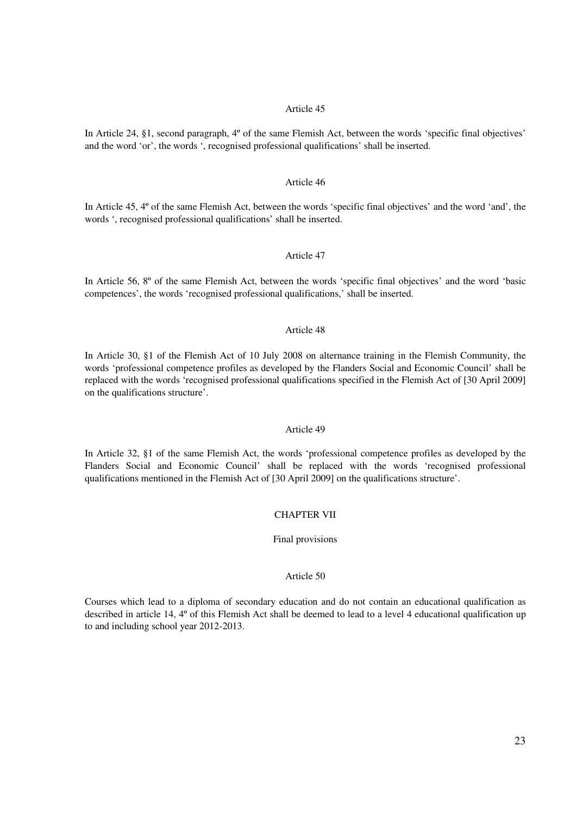In Article 24, §1, second paragraph, 4º of the same Flemish Act, between the words 'specific final objectives' and the word 'or', the words ', recognised professional qualifications' shall be inserted.

### Article 46

In Article 45, 4° of the same Flemish Act, between the words 'specific final objectives' and the word 'and', the words ', recognised professional qualifications' shall be inserted.

## Article 47

In Article 56, 8º of the same Flemish Act, between the words 'specific final objectives' and the word 'basic competences', the words 'recognised professional qualifications,' shall be inserted.

## Article 48

In Article 30, §1 of the Flemish Act of 10 July 2008 on alternance training in the Flemish Community, the words 'professional competence profiles as developed by the Flanders Social and Economic Council' shall be replaced with the words 'recognised professional qualifications specified in the Flemish Act of [30 April 2009] on the qualifications structure'.

#### Article 49

In Article 32, §1 of the same Flemish Act, the words 'professional competence profiles as developed by the Flanders Social and Economic Council' shall be replaced with the words 'recognised professional qualifications mentioned in the Flemish Act of [30 April 2009] on the qualifications structure'.

## CHAPTER VII

Final provisions

## Article 50

Courses which lead to a diploma of secondary education and do not contain an educational qualification as described in article 14, 4º of this Flemish Act shall be deemed to lead to a level 4 educational qualification up to and including school year 2012-2013.